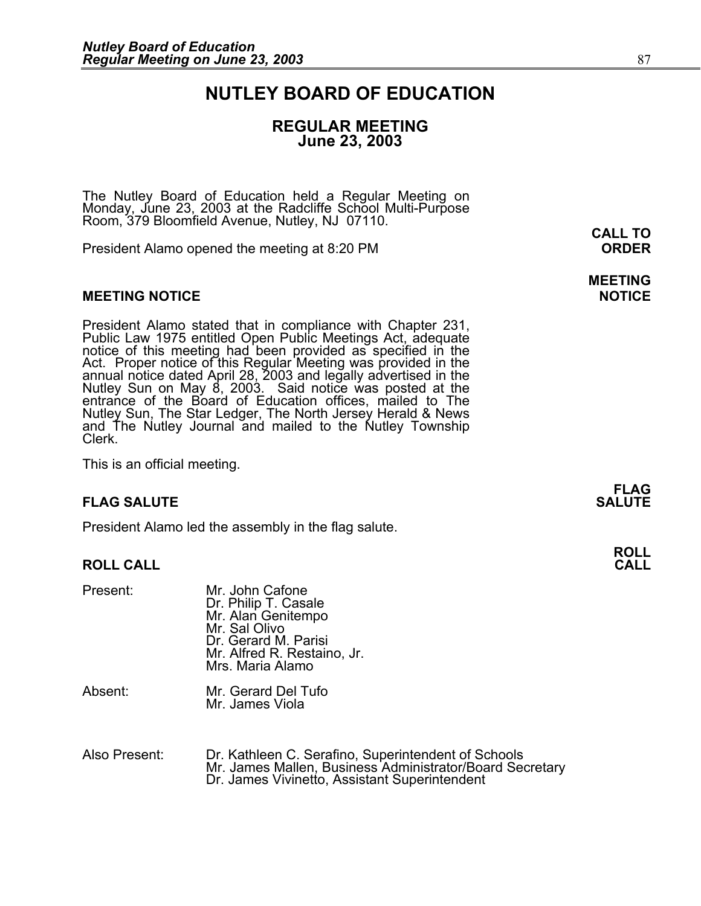## **NUTLEY BOARD OF EDUCATION**

### **REGULAR MEETING June 23, 2003**

**MEETING** 

The Nutley Board of Education held a Regular Meeting on Monday, June 23, 2003 at the Radcliffe School Multi-Purpose Room, 379 Bloomfield Avenue, Nutley, NJ 07110.

President Alamo opened the meeting at 8:20 PM **ORDER**

#### **MEETING NOTICE NOTICE AND INCLUSION CONTROL**

President Alamo stated that in compliance with Chapter 231,<br>Public Law 1975 entitled Open Public Meetings Act, adequate<br>notice of this meeting had been provided as specified in the<br>Act. Proper notice of this Regular Meetin annual notice dated April 28, 2003 and legally advertised in the<br>Nutley Sun on May 8, 2003. Said notice was posted at the<br>entrance of the Board of Education offices, mailed to The entrance of the Board of Education offices, mailed to The Nutley Sun, The Star Ledger, The North Jersey Herald & News and The Nutley Journal and mailed to the Nutley Township Clerk.

This is an official meeting.

#### **FLAG SALUTE SALUTE SALUTE**

President Alamo led the assembly in the flag salute.

#### **ROLL CALL CALL**

| Present: | Mr. John Cafone<br>Dr. Philip T. Casale<br>Mr. Alan Genitempo<br>Mr. Sal Olivo<br>Dr. Gerard M. Parisi<br>Mr. Alfred R. Restaino, Jr.<br>Mrs. Maria Alamo |
|----------|-----------------------------------------------------------------------------------------------------------------------------------------------------------|
| Absent:  | Mr. Gerard Del Tufo<br>Mr. James Viola                                                                                                                    |

Also Present: Dr. Kathleen C. Serafino, Superintendent of Schools Mr. James Mallen, Business Administrator/Board Secretary Dr. James Vivinetto, Assistant Superintendent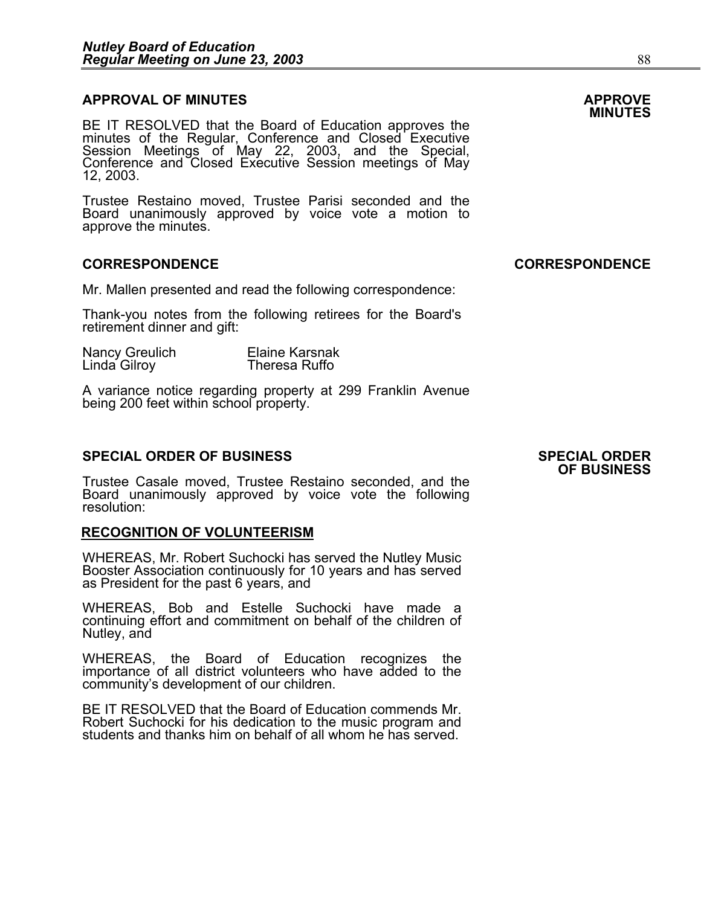## **APPROVAL OF MINUTES APPROVE**

**MINUTES** BE IT RESOLVED that the Board of Education approves the minutes of the Regular, Conference and Closed Executive Session Meetings of May 22, 2003, and the Special,<br>Conference and Closed Executive Session meetings of May<br>12, 2003.

Trustee Restaino moved, Trustee Parisi seconded and the Board unanimously approved by voice vote a motion to approve the minutes.

#### **CORRESPONDENCE CORRESPONDENCE**

Mr. Mallen presented and read the following correspondence:

Thank-you notes from the following retirees for the Board's retirement dinner and gift:

| Nancy Greulich | <b>Elaine Karsnak</b> |
|----------------|-----------------------|
| Linda Gilroy   | Theresa Ruffo         |

A variance notice regarding property at 299 Franklin Avenue being 200 feet within school property.

#### **SPECIAL ORDER OF BUSINESS SPECIAL ORDER**

Trustee Casale moved, Trustee Restaino seconded, and the Board unanimously approved by voice vote the following resolution:

#### **RECOGNITION OF VOLUNTEERISM**

WHEREAS, Mr. Robert Suchocki has served the Nutley Music<br>Booster Association continuously for 10 years and has served<br>as President for the past 6 years, and

WHEREAS, Bob and Estelle Suchocki have made a continuing effort and commitment on behalf of the children of Nutley, and

WHEREAS, the Board of Education recognizes the importance of all district volunteers who have added to the community's development of our children.

BE IT RESOLVED that the Board of Education commends Mr. Robert Suchocki for his dedication to the music program and students and thanks him on behalf of all whom he has served.

# **OF BUSINESS**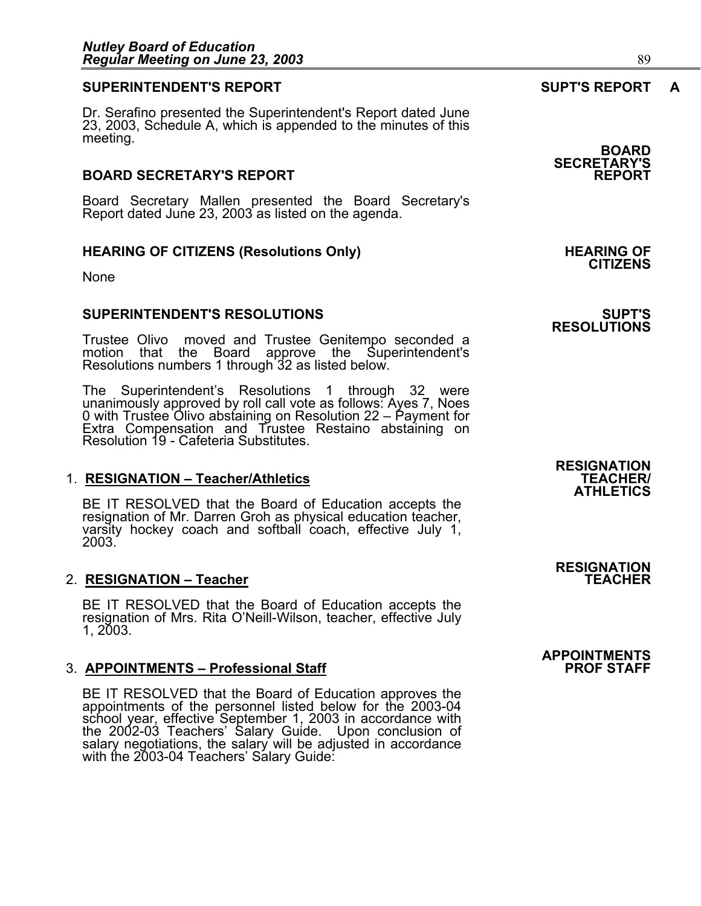#### **SUPERINTENDENT'S REPORT SUPT'S REPORT A**

Dr. Serafino presented the Superintendent's Report dated June 23, 2003, Schedule A, which is appended to the minutes of this meeting. **BOARD** 

#### **BOARD SECRETARY'S REPORT**

Board Secretary Mallen presented the Board Secretary's Report dated June 23, 2003 as listed on the agenda.

#### HEARING OF CITIZENS (Resolutions Only) **HEARING OF SEARING**

None

#### **SUPERINTENDENT'S RESOLUTIONS SUPT'S**

Trustee Olivo moved and Trustee Genitempo seconded a motion that the Board approve the Superintendent's Resolutions numbers 1 through 32 as listed below.

The Superintendent's Resolutions 1 through 32 were unanimously approved by roll call vote as follows: Ayes 7, Noes 0 with Trustee Olivo abstaining on Resolution 22 – Payment for Extra Compensation and Trustee Restaino abstaining on Resolution 19 - Cafeteria Substitutes.

#### 1. **RESIGNATION - Teacher/Athletics**

BE IT RESOLVED that the Board of Education accepts the resignation of Mr. Darren Groh as physical education teacher, varsity hockey coach and softball coach, effective July 1, 2003.

#### 2. **RESIGNATION - Teacher**

BE IT RESOLVED that the Board of Education accepts the resignation of Mrs. Rita O'Neill-Wilson, teacher, effective July 1, 2003.

#### **3. APPOINTMENTS – Professional Staff**

BE IT RESOLVED that the Board of Education approves the appointments of the personnel listed below for the 2003-04 school year, effective September 1, 2003 in accordance with the 2002-03 Teachers' Salary Guide. Upon conclusion of salary negotiations, the salary will be adjusted in accordance with the 2003-04 Teachers' Salary Guide:

**RESIGNATION ATHLETICS** 

**RESIGNATION** 

## **APPOINTMENTS**

**SECRETARY'S** 

**CITIZENS** 

**RESOLUTIONS**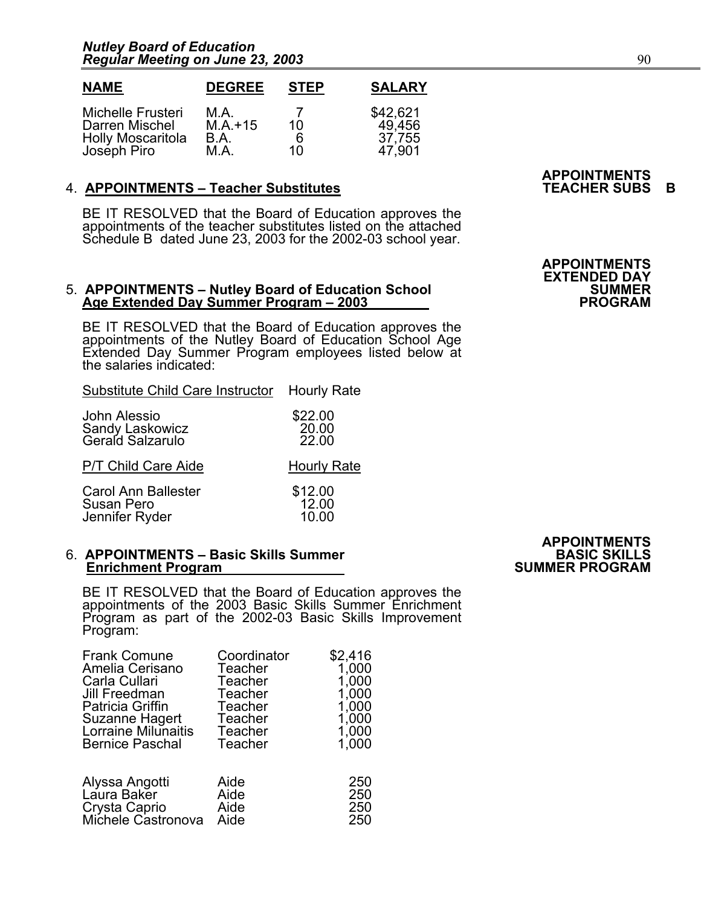| <b>NAME</b>              | <b>DEGREE</b> | <b>STEP</b> | <b>SALARY</b> |
|--------------------------|---------------|-------------|---------------|
| Michelle Frusteri        | M.A.          | 7           | \$42,621      |
| Darren Mischel           | $M.A.+15$     | 10          | 49,456        |
| <b>Holly Moscaritola</b> | B.A.          | 6           | 37,755        |
| Joséph Piro              | M.A.          | 10          | 47.901        |

#### 4. **APPOINTMENTS – Teacher Substitutes TEACHER SUBS B**

BE IT RESOLVED that the Board of Education approves the appointments of the teacher substitutes listed on the attached Schedule B dated June 23, 2003 for the 2002-03 school year.

#### 5. **APPOINTMENTS – Nutley Board of Education School SUMMER**  Age Extended Day Summer Program – 2003

BE IT RESOLVED that the Board of Education approves the appointments of the Nutley Board of Education School Age Extended Day Summer Program employees listed below at the salaries indicated:

Substitute Child Care Instructor Hourly Rate

| John Alessio<br>Sandy Laskowicz<br>Gerald Salzarulo | \$22.00<br>20.00<br>22.00 |
|-----------------------------------------------------|---------------------------|
| P/T Child Care Aide                                 | <b>Hourly Rate</b>        |
| Carol Ann Ballester<br>Susan Pero<br>Jennifer Ryder | \$12.00<br>12.00<br>10.00 |

#### 6. **APPOINTMENTS – Basic Skills Summer BASIC SKILLS Enrichment Program**

BE IT RESOLVED that the Board of Education approves the appointments of the 2003 Basic Skills Summer Enrichment Program as part of the 2002-03 Basic Skills Improvement Program:

| <b>Frank Comune</b>                                                  | Coordinator                  | \$2,416                  |
|----------------------------------------------------------------------|------------------------------|--------------------------|
| Amelia Cerisano                                                      | Teacher                      | 1,000                    |
| Carla Cullari                                                        | Teacher                      | 1,000                    |
| Jill Freedman                                                        | Teacher                      | 1,000                    |
| Patricia Griffin                                                     | Teacher                      | 1,000                    |
| Suzanne Hagert                                                       | Teacher                      | 1,000                    |
| Lorraine Milunaitis                                                  | Teacher                      | 1,000                    |
| <b>Bernice Paschal</b>                                               | Teacher                      | 1,000                    |
| Alyssa Angotti<br>Laura Baker<br>Crysta Caprio<br>Michele Castronova | Aide<br>Aide<br>Aide<br>Aide | 250<br>250<br>250<br>250 |

# **APPOINTMENTS**

**APPOINTMENTS** 

**APPOINTMENTS EXTENDED DAY**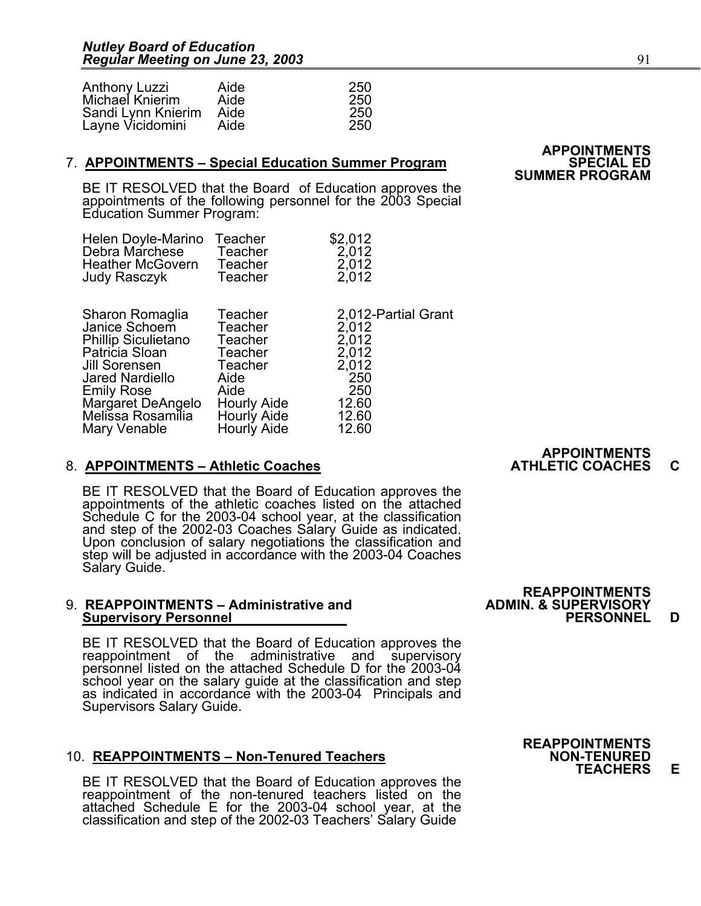| <b>Anthony Luzzi</b> | Aide | 250  |
|----------------------|------|------|
| Michael Knierim      | Aide | 250  |
| Sandi Lynn Knierim   | Aide | -250 |
| Layne Vicidomini     | Aide | 250  |

#### **7. APPOINTMENTS – Special Education Summer Program**

**SUMMER PROGRAM**<br>BE IT RESOLVED that the Board of Education approves the appointments of the following personnel for the 2003 Special Education Summer Program:

| Helen Doyle-Marino      | Teacher | \$2,012 |
|-------------------------|---------|---------|
| Debra Marchese          | Teacher | 2,012   |
| <b>Heather McGovern</b> | Teacher | 2,012   |
| Judy Rasczyk            | Teacher | 2,012   |

| Sharon Romaglia<br>Janice Schoem<br><b>Phillip Siculietano</b><br>Patricia Sloan<br>Jill Sorensen<br><b>Jared Nardiello</b> | Teacher<br>Teacher<br>Teacher<br>Teacher<br>Teacher<br>Aide<br>Aide | 2.012-Partial Grant<br>2,012<br>2,012<br>2,012<br>2,012<br>250<br>250 |                     |
|-----------------------------------------------------------------------------------------------------------------------------|---------------------------------------------------------------------|-----------------------------------------------------------------------|---------------------|
| <b>Emily Rose</b><br>Margaret DeAngelo<br>Melissa Rosamilia<br>Mary Venable                                                 | <b>Hourly Aide</b><br>Hourly Aide<br>Hourly Aide                    | 12.60<br>12.60<br>12.60                                               |                     |
|                                                                                                                             |                                                                     |                                                                       | <b>APPOINTMENTS</b> |

#### 8. APPOINTMENTS – Athletic Coaches **ATHLETIC COACHES** C

BE IT RESOLVED that the Board of Education approves the appointments of the athletic coaches listed on the attached Schedule C for the 2003-04 school year, at the classification and step of the 2002-03 Coaches Salary Guide as indicated. Upon conclusion of salary negotiations the classification and step will be adjusted in accordance with the 2003-04 Coaches Salary Guide.

#### 9. **REAPPOINTMENTS – Administrative and ADMIN. & SUPERVISORY Supervisory Personnel PERSONNEL D**

BE IT RESOLVED that the Board of Education approves the reappointment of the administrative and supervisory personnel listed on the attached Schedule D for the 2003-04 school year on the salary guide at the classification and step as indicated in accordance with the 2003-04 Principals and<br>Supervisors Salary Guide.

#### 10. **REAPPOINTMENTS - Non-Tenured Teachers**

BE IT RESOLVED that the Board of Education approves the reappointment of the non-tenured teachers listed on the attached Schedule E for the 2003-04 school year, at the classification and step of the 2002-03 Teachers' Salary Guide

# **REAPPOINTMENTS**<br>ADMIN. & SUPERVISORY

## **REAPPOINTMENTS TEACHERS E**

# **APPOINTMENTS**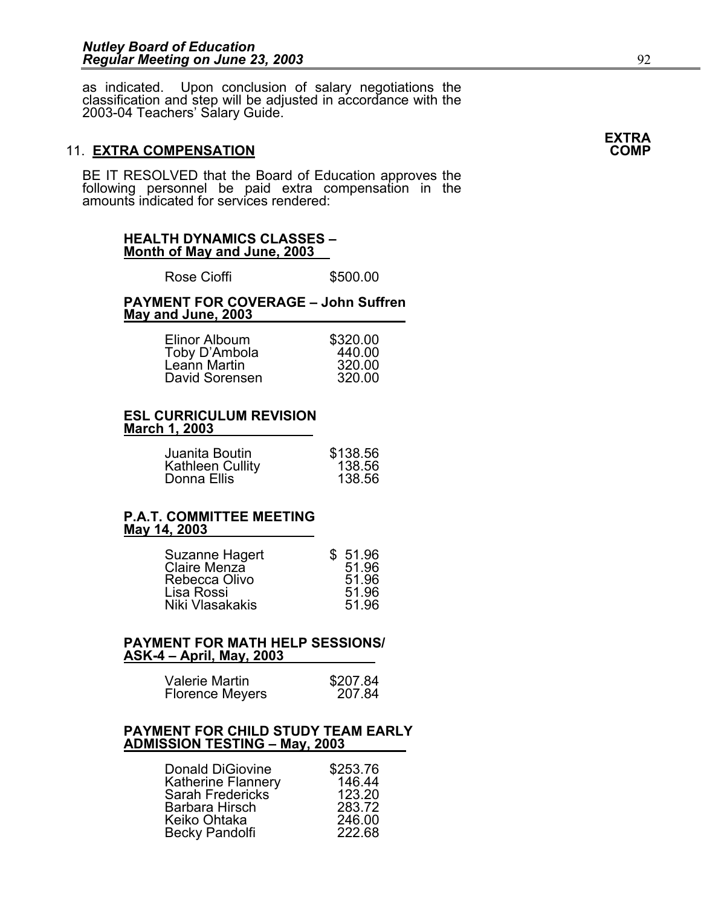as indicated. Upon conclusion of salary negotiations the classification and step will be adjusted in accordance with the 2003-04 Teachers' Salary Guide.

#### **11. EXTRA COMPENSATION**

BE IT RESOLVED that the Board of Education approves the following personnel be paid extra compensation in the amounts indicated for services rendered:

#### **HEALTH DYNAMICS CLASSES – Month of May and June, 2003**

Rose Cioffi **\$500.00** 

#### **PAYMENT FOR COVERAGE – John Suffren May and June, 2003**

| Elinor Alboum  | \$320.00 |
|----------------|----------|
| Toby D'Ambola  | 440.00   |
| Leann Martin   | 320.00   |
| David Sorensen | 320.00   |

#### **ESL CURRICULUM REVISION March 1, 2003**

| Juanita Boutin          | \$138.56 |
|-------------------------|----------|
| <b>Kathleen Cullity</b> | 138.56   |
| Donna Ellis             | 138.56   |

#### **P.A.T. COMMITTEE MEETING May 14, 2003**

| Suzanne Hagert  | \$51.96 |
|-----------------|---------|
| Claire Menza    | 51.96   |
| Rebecca Olivo   | 51.96   |
| Lisa Rossi      | 51.96   |
| Niki Vlasakakis | 51.96   |

#### **PAYMENT FOR MATH HELP SESSIONS/ ASK-4 – April, May, 2003**

| Valerie Martin         | \$207.84 |
|------------------------|----------|
| <b>Florence Meyers</b> | 207.84   |

#### **PAYMENT FOR CHILD STUDY TEAM EARLY ADMISSION TESTING – May, 2003**

| Donald DiGiovine          | \$253.76 |
|---------------------------|----------|
| <b>Katherine Flannery</b> | 146.44   |
| <b>Sarah Fredericks</b>   | 123.20   |
| Barbara Hirsch            | 283.72   |
| Keiko Ohtaka              | 246.00   |
| Becky Pandolfi            | 222.68   |

**EXTRA**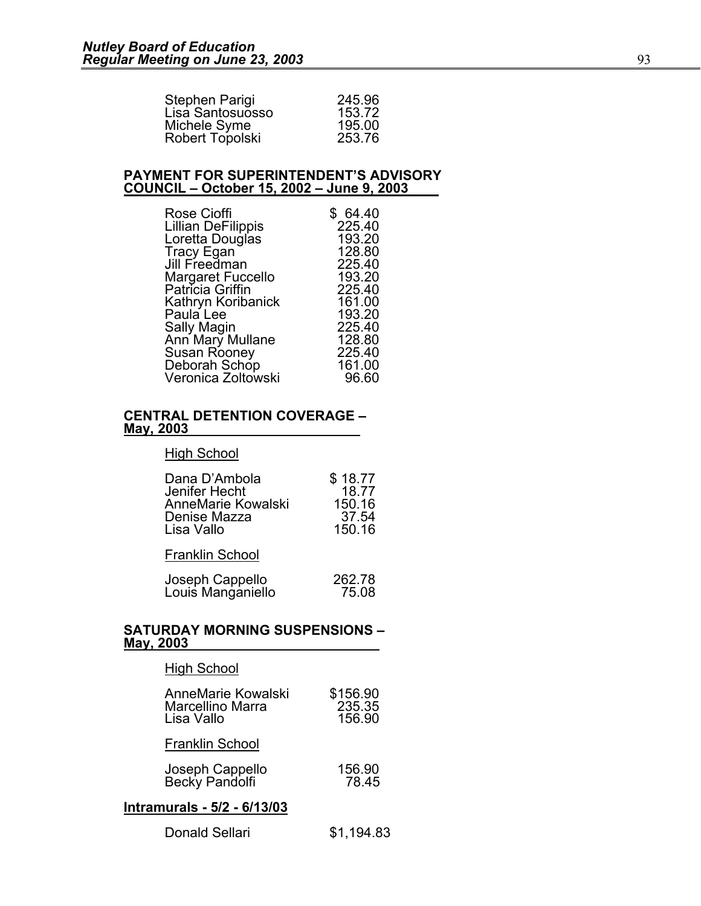| 245.96 |
|--------|
| 153.72 |
| 195.00 |
| 253.76 |
|        |

#### **PAYMENT FOR SUPERINTENDENT'S ADVISORY COUNCIL – October 15, 2002 – June 9, 2003**

| Rose Cioffi               | \$64.40 |
|---------------------------|---------|
| <b>Lillian DeFilippis</b> | 225.40  |
| Loretta Douglas           | 193.20  |
| <b>Tracy Egan</b>         | 128.80  |
| Jill Freedman             | 225.40  |
| <b>Margaret Fuccello</b>  | 193.20  |
| Patrícia Griffin          | 225.40  |
| Kathryn Koribanick        | 161.00  |
| Paula Lee                 | 193.20  |
| Sally Magin               | 225.40  |
| Ann Mary Mullane          | 128.80  |
| Susan Rooney              | 225.40  |
| Deborah Schop             | 161.00  |
| Veronica Zoltowski        | 96.60   |

#### **CENTRAL DETENTION COVERAGE – May, 2003**

#### High School

| Dana D'Ambola      | \$18.77 |
|--------------------|---------|
| Jenifer Hecht      | 18.77   |
| AnneMarie Kowalski | 150.16  |
| Denise Mazza       | 37.54   |
| Lisa Vallo         | 150.16  |

Franklin School

|                                      | 262.78 |
|--------------------------------------|--------|
| Joseph Cappello<br>Louis Manganiello | 75.08  |

#### **SATURDAY MORNING SUSPENSIONS – May, 2003**

| \$156.90<br>235.35<br>156.90 |  |  |  |
|------------------------------|--|--|--|
|                              |  |  |  |
| 156.90<br>78.45              |  |  |  |
| Intramurals - 5/2 - 6/13/03  |  |  |  |
|                              |  |  |  |

| Donald Sellari | \$1,194.83 |
|----------------|------------|
|----------------|------------|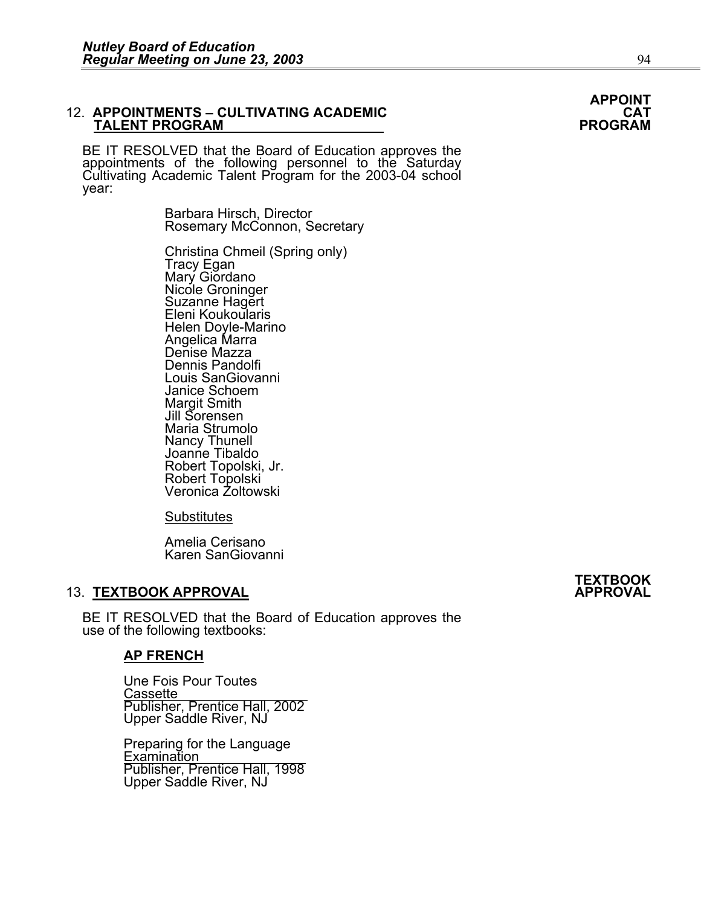٦

## 12. **APPOINTMENTS – CULTIVATING ACADEMIC CAT TALENT PROGRAM PROGRAM**

BE IT RESOLVED that the Board of Education approves the appointments of the following personnel to the Saturday Cultivating Academic Talent Program for the 2003-04 school year:

> Barbara Hirsch, Director Rosemary McConnon, Secretary

Christina Chmeil (Spring only) Tracy Egan<br>Mary Giordano Nicole Groninger Suzanne Hagert Eleni Koukoularis Helen Doyle-Marino Angelica Marra Denise Mazza Dennis Pandolfi Louis SanGiovanni Janice Schoem **Margit Smith**  Jill Sorensen Maria Strumolo<br>Nancy Thunell Joanne Tibaldo Robert Topolski, Jr. Robert Topolski Veronica Zoltowski

**Substitutes** 

 Amelia Cerisano Karen SanGiovanni

### **13. TEXTBOOK APPROVAL**

BE IT RESOLVED that the Board of Education approves the use of the following textbooks:

#### **AP FRENCH**

 Une Fois Pour Toutes **Cassette**  Publisher, Prentice Hall, 2002 Upper Saddle River, NJ

> Preparing for the Language<br>Examination Publisher, Prentice Hall, 1998 Upper Saddle River, NJ

# **TEXTBOOK**

# **APPOINT**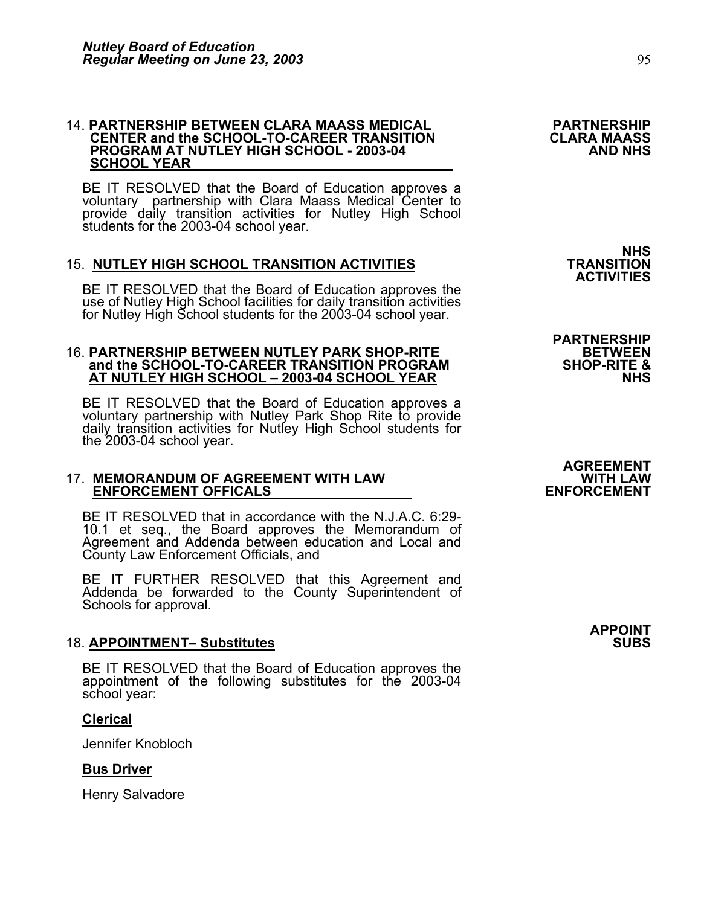## 14. **PARTNERSHIP BETWEEN CLARA MAASS MEDICAL PARTNERSHIP CENTER and the SCHOOL-TO-CAREER TRANSITION CLARA MAASS PROGRAM AT NUTLEY HIGH SCHOOL - 2003-04 SCHOOL YEAR**

BE IT RESOLVED that the Board of Education approves a voluntary partnership with Clara Maass Medical Center to provide daily transition activities for Nutley High School students for the 2003-04 school year.

### **15. NUTLEY HIGH SCHOOL TRANSITION ACTIVITIES**

BE IT RESOLVED that the Board of Education approves the use of Nutley High School facilities for daily transition activities for Nutley High School students for the 2003-04 school year.

## 16. **PARTNERSHIP BETWEEN NUTLEY PARK SHOP-RITE BETWEEN AT NUTLEY HIGH SCHOOL – 2003-04 SCHOOL YEAR NUTLEY HIGH SCHOOL – 2003-04 SCHOOL YEAR**

BE IT RESOLVED that the Board of Education approves a voluntary partnership with Nutley Park Shop Rite to provide daily transition activities for Nutley High School students for the 2003-04 school year.

## 17. **MEMORANDUM OF AGREEMENT WITH LAW WITH LAW ENFORCEMENT OFFICALS ENFORCEMENT**

BE IT RESOLVED that in accordance with the N.J.A.C. 6:29- 10.1 et seq., the Board approves the Memorandum of Agreement and Addenda between education and Local and County Law Enforcement Officials, and

BE IT FURTHER RESOLVED that this Agreement and Addenda be forwarded to the County Superintendent of Schools for approval.

#### 18. **APPOINTMENT- Substitutes**

BE IT RESOLVED that the Board of Education approves the appointment of the following substitutes for the 2003-04 school year:

#### **Clerical**

Jennifer Knobloch

#### **Bus Driver**

Henry Salvadore

**NHS**<br>TRANSITION **ACTIVITIES** 

**PARTNERSHIP** 

# **AGREEMENT**

**APPOINT**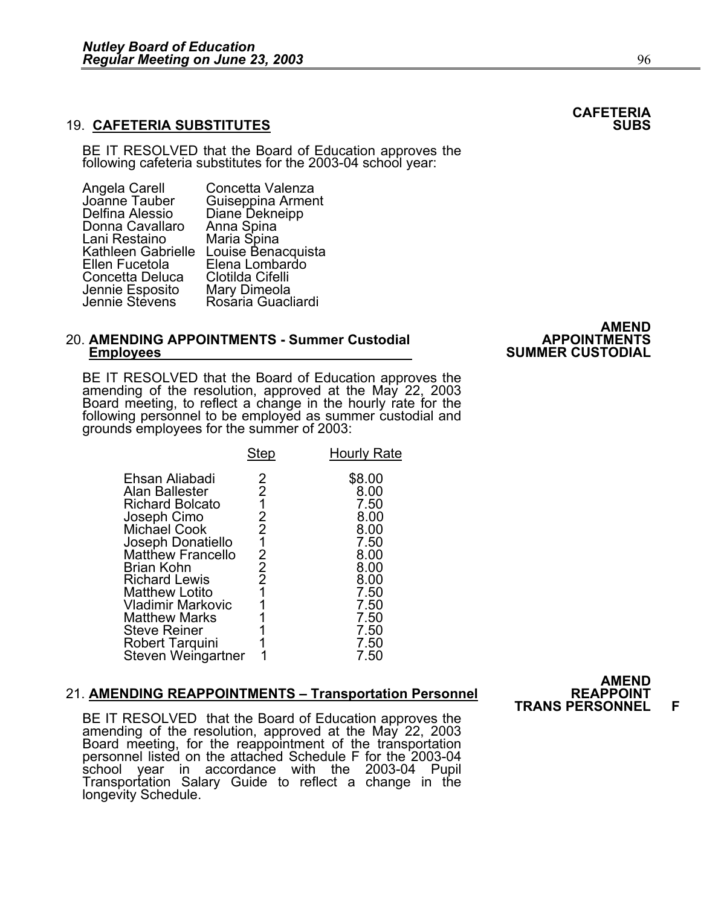#### **19. CAFETERIA SUBSTITUTES**

BE IT RESOLVED that the Board of Education approves the following cafeteria substitutes for the 2003-04 school year:

| Angela Carell             | Concetta Valenza                    |
|---------------------------|-------------------------------------|
| Joanne Tauber             | Guiseppina Arment<br>Diane Dekneipp |
| Delfina Alessio           |                                     |
| Donna Cavallaro           | Anna Spina                          |
| Lani Restaino             | Maria Spina                         |
| <b>Kathleen Gabrielle</b> | Louise Benacquista                  |
| Ellen Fucetola            | Elena Lombardo                      |
| Concetta Deluca           | Clotilda Cifelli                    |
| Jennie Esposito           | Mary Dimeola                        |
| Jennie Stevens            | Rosaria Guacliardi                  |
|                           |                                     |

## 20. **AMENDING APPOINTMENTS - Summer Custodial APPOINTMENTS Employees SUMMER CUSTODIAL**

BE IT RESOLVED that the Board of Education approves the amending of the resolution, approved at the May 22, 2003 Board meeting, to reflect a change in the hourly rate for the following personnel to be employed as summer cu grounds employees for the summer of 2003:

|                                                                                                                                                                                                                                                        | <b>Step</b>                                                              | <b>Hourly Rate</b>                                                                             |
|--------------------------------------------------------------------------------------------------------------------------------------------------------------------------------------------------------------------------------------------------------|--------------------------------------------------------------------------|------------------------------------------------------------------------------------------------|
| Ehsan Aliabadi<br>Alan Ballester<br><b>Richard Bolcato</b><br>Joseph Cimo<br>Michael Cook<br>Joseph Donatiello<br><b>Matthew Francello</b><br>Brian Kohn<br><b>Richard Lewis</b><br><b>Matthew Lotito</b><br>Vladimir Markovic<br><b>Matthew Marks</b> | 2<br>2<br>1<br>2<br>2<br>1<br>2<br>$\overline{2}$<br>$\overline{2}$<br>1 | \$8.00<br>8.00<br>7.50<br>8.00<br>8.00<br>7.50<br>8.00<br>8.00<br>8.00<br>7.50<br>7.50<br>7.50 |
| <b>Steve Reiner</b><br>Robert Tarquini<br>Steven Weingartner                                                                                                                                                                                           |                                                                          | 7.50<br>7.50                                                                                   |
|                                                                                                                                                                                                                                                        |                                                                          | 7.50                                                                                           |

#### **21. AMENDING REAPPOINTMENTS - Transportation Personnel**

BE IT RESOLVED that the Board of Education approves the amending of the resolution, approved at the May 22, 2003<br>Board meeting, for the reappointment of the transportation personnel listed on the attached Schedule F for the 2003-04 school year in accordance with the 2003-04 Pupil Transportation Salary Guide to reflect a change in the<br>longevity Schedule.

# **AMEND**

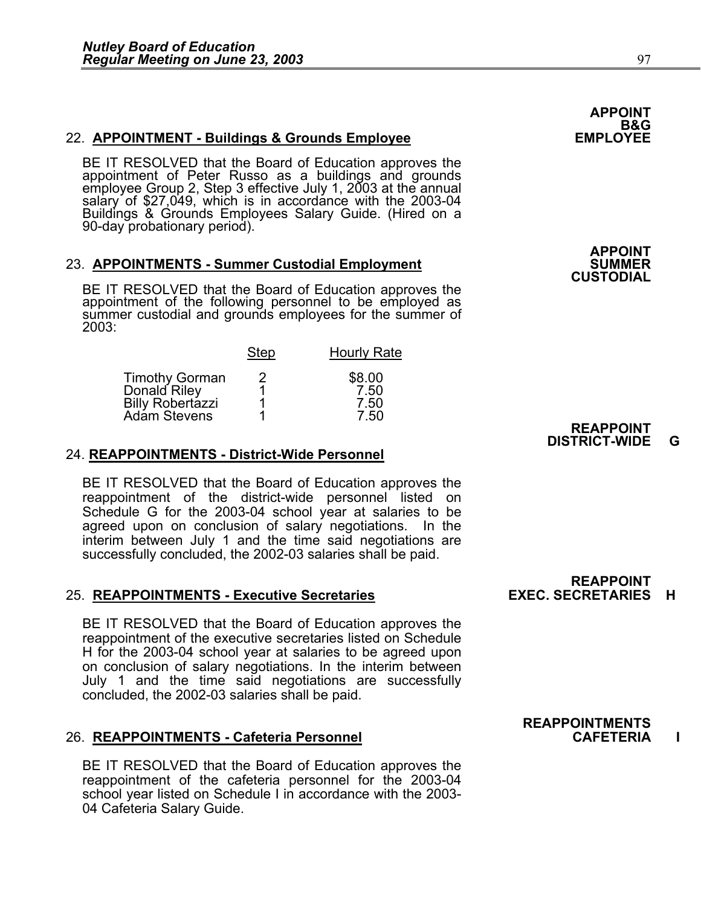22. **APPOINTMENT - Buildings & Grounds Employee**<br>BE IT RESOLVED that the Board of Education approves the<br>appointment of Peter Russo as a buildings and grounds<br>employee Group 2, Step 3 effective July 1, 2003 at the annual<br>s Buildings & Grounds Employees Salary Guide. (Hired on a 90-day probationary period).

#### 23. **APPOINTMENTS - Summer Custodial Employment**

BE IT RESOLVED that the Board of Education approves the appointment of the following personnel to be employed as summer custodial and grounds employees for the summer of 2003:

|                                                                           | <b>Step</b> | <b>Hourly Rate</b>             |
|---------------------------------------------------------------------------|-------------|--------------------------------|
| <b>Timothy Gorman</b><br>Donald Riley<br>Billy Robertazzi<br>Adám Stevens |             | \$8.00<br>7.50<br>7.50<br>7.50 |

#### 24. **REAPPOINTMENTS - District-Wide Personnel**

BE IT RESOLVED that the Board of Education approves the reappointment of the district-wide personnel listed on Schedule G for the 2003-04 school year at salaries to be agreed upon on conclusion of salary negotiations. In the interim between July 1 and the time said negotiations are successfully concluded, the 2002-03 salaries shall be paid.

#### **25. REAPPOINTMENTS - Executive Secretaries**

BE IT RESOLVED that the Board of Education approves the reappointment of the executive secretaries listed on Schedule H for the 2003-04 school year at salaries to be agreed upon on conclusion of salary negotiations. In the interim between July 1 and the time said negotiations are successfully concluded, the 2002-03 salaries shall be paid.

#### 26. **REAPPOINTMENTS - Cafeteria Personnel CAFETERIA I**

BE IT RESOLVED that the Board of Education approves the reappointment of the cafeteria personnel for the 2003-04 school year listed on Schedule I in accordance with the 2003- 04 Cafeteria Salary Guide.

**REAPPOINT<br>EXEC. SECRETARIES H** 

### **APPOINT**  B&G<br>EMPLOYEE

**APPOINT CUSTODIAL** 



**REAPPOINTMENTS**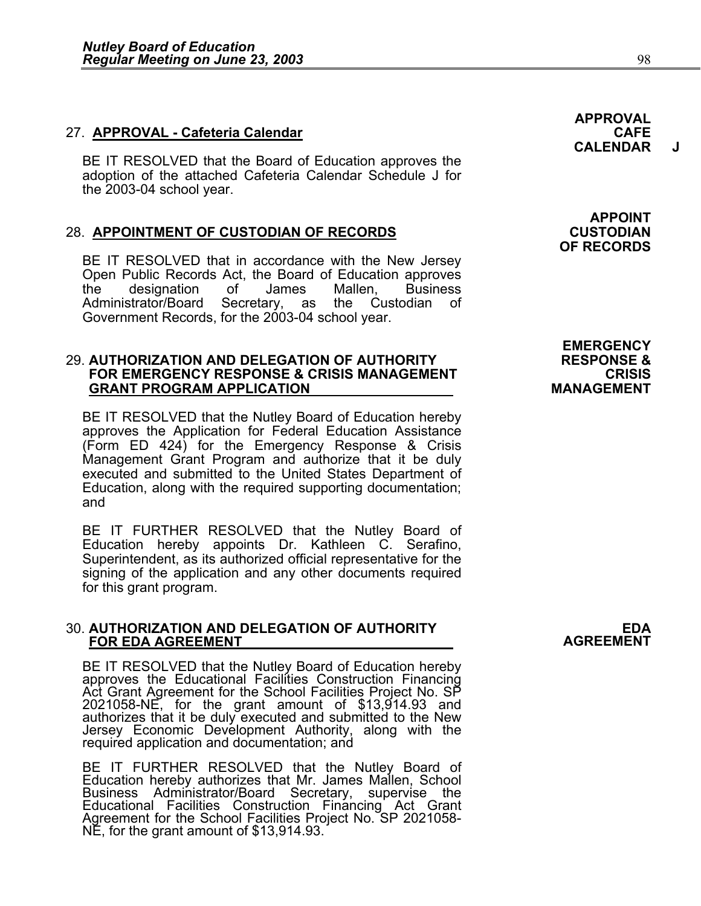#### 27. **APPROVAL - Cafeteria Calendar CAFE**

BE IT RESOLVED that the Board of Education approves the adoption of the attached Cafeteria Calendar Schedule J for the 2003-04 school year.

#### 28. **APPOINTMENT OF CUSTODIAN OF RECORDS CUSTODIAN**

BE IT RESOLVED that in accordance with the New Jersey Open Public Records Act, the Board of Education approves the designation of James Mallen, Business Administrator/Board Secretary, as the Custodian of Government Records, for the 2003-04 school year.

#### 29. **AUTHORIZATION AND DELEGATION OF AUTHORITY RESPONSE & FOR EMERGENCY RESPONSE & CRISIS MANAGEMENT CRISIS GRANT PROGRAM APPLICATION MANAGEMENT**

BE IT RESOLVED that the Nutley Board of Education hereby approves the Application for Federal Education Assistance (Form ED 424) for the Emergency Response & Crisis Management Grant Program and authorize that it be duly executed and submitted to the United States Department of Education, along with the required supporting documentation; and

BE IT FURTHER RESOLVED that the Nutley Board of Education hereby appoints Dr. Kathleen C. Serafino, Superintendent, as its authorized official representative for the signing of the application and any other documents required for this grant program.

## 30. **AUTHORIZATION AND DELEGATION OF AUTHORITY EDA FOR EDA AGREEMENT AGREEMENT**

BE IT RESOLVED that the Nutley Board of Education hereby<br>approves the Educational Facilities Construction Financing<br>Act Grant Agreement for the School Facilities Project No. SP<br>2021058-NE, for the grant amount of \$13,914.9 authorizes that it be duly executed and submitted to the New Jersey Economic Development Authority, along with the required application and documentation; and

BE IT FURTHER RESOLVED that the Nutley Board of<br>Education hereby authorizes that Mr. James Mallen, School<br>Business Administrator/Board Secretary, supervise the Educational Facilities Construction Financing Act Grant Agreement for the School Facilities Project No. SP 2021058-<br>NE, for the grant amount of \$13,914.93.

**APPOINT OF RECORDS** 

**APPROVAL** 

**CALENDAR** 

**EMERGENCY**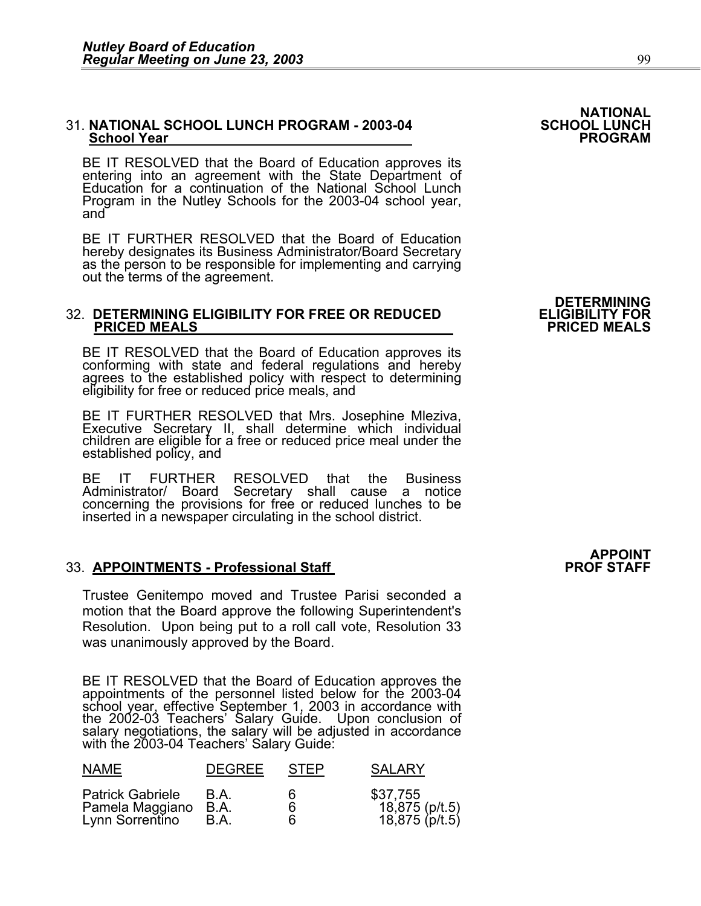## 31. **NATIONAL SCHOOL LUNCH PROGRAM - 2003-04 SCHOOL LUNCH School Year PROGRAM**

BE IT RESOLVED that the Board of Education approves its entering into an agreement with the State Department of Education for a continuation of the National School Lunch Program in the Nutley Schools for the 2003-04 school year, and

BE IT FURTHER RESOLVED that the Board of Education hereby designates its Business Administrator/Board Secretary as the person to be responsible for implementing and carrying out the terms of the agreement.

## 32. **DETERMINING ELIGIBILITY FOR FREE OR REDUCED ELIGIBILITY FOR PRICED MEALS PRICED MEALS**

BE IT RESOLVED that the Board of Education approves its conforming with state and federal regulations and hereby agrees to the established policy with respect to determining eligibility for free or reduced price meals, and

BE IT FURTHER RESOLVED that Mrs. Josephine Mleziva,<br>Executive Secretary II, shall determine which individual children are eligible for a free or reduced price meal under the established policy, and

BE IT FURTHER RESOLVED that the Business Administrator/ Board Secretary shall cause a notice concerning the provisions for free or reduced lunches to be inserted in a newspaper circulating in the school district.

#### **33. APPOINTMENTS - Professional Staff**

Trustee Genitempo moved and Trustee Parisi seconded a motion that the Board approve the following Superintendent's Resolution. Upon being put to a roll call vote, Resolution 33 was unanimously approved by the Board.

BE IT RESOLVED that the Board of Education approves the appointments of the personnel listed below for the 2003-04 school year, effective September 1, 2003 in accordance with the 2002-03 Teachers' Salary Guide. Upon conclusion of salary negotiations, the salary will be adjusted in accordance with the 2003-04 Teachers' Salary Guide:

| <b>NAME</b>                                                   | <b>DEGREE</b>       | <b>STEP</b> | <b>SALARY</b>                                |
|---------------------------------------------------------------|---------------------|-------------|----------------------------------------------|
| <b>Patrick Gabriele</b><br>Pamela Maggiano<br>Lynn Sorrentino | B.A<br>B.A.<br>B.A. | 6<br>6      | \$37,755<br>18,875 (p/t.5)<br>18,875 (p/t.5) |

**DETERMINING** 

# **NATIONAL<br>SCHOOL LUNCH**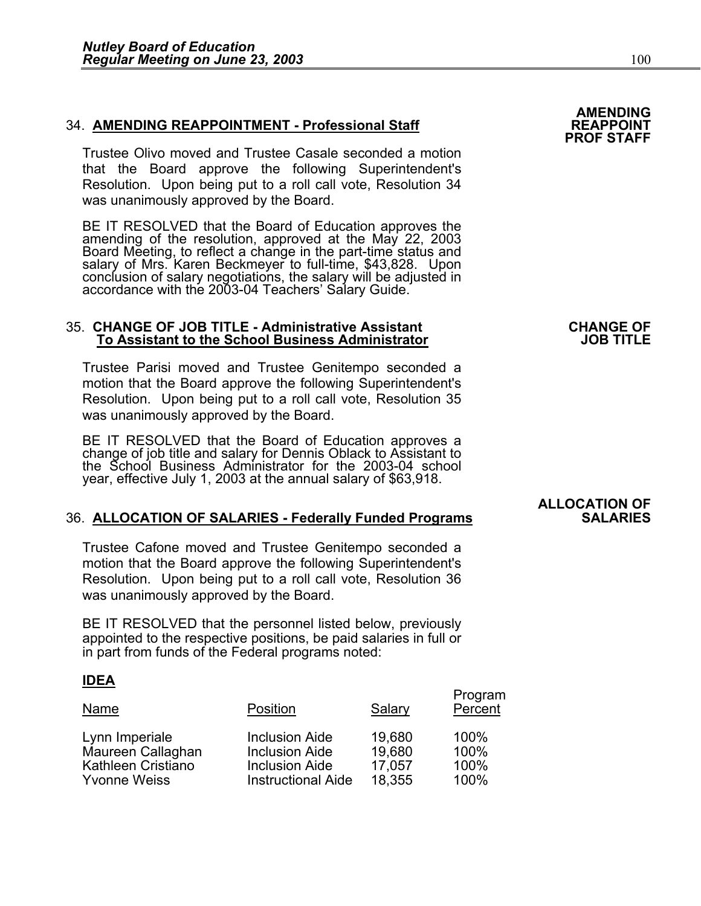#### 34. **AMENDING REAPPOINTMENT - Professional Staff REAPPOINT**

Trustee Olivo moved and Trustee Casale seconded a motion that the Board approve the following Superintendent's Resolution. Upon being put to a roll call vote, Resolution 34 was unanimously approved by the Board.

BE IT RESOLVED that the Board of Education approves the<br>amending of the resolution, approved at the May 22, 2003<br>Board Meeting, to reflect a change in the part-time status and<br>salary of Mrs. Karen Beckmeyer to full-time, \$ concĺusion of salary negotiations, the salary will be adjusted in<br>accordance with the 2003-04 Teachers' Salary Guide.

## 35. **CHANGE OF JOB TITLE - Administrative Assistant CHANGE OF To Assistant to the School Business Administrator JOB TITLE**

Trustee Parisi moved and Trustee Genitempo seconded a motion that the Board approve the following Superintendent's Resolution. Upon being put to a roll call vote, Resolution 35 was unanimously approved by the Board.

BE IT RESOLVED that the Board of Education approves a change of job title and salary for Dennis Oblack to Assistant to the School Business Administrator for the 2003-04 school year, effective July 1, 2003 at the annual salary of \$63,918.

### **36. ALLOCATION OF SALARIES - Federally Funded Programs**

Trustee Cafone moved and Trustee Genitempo seconded a motion that the Board approve the following Superintendent's Resolution. Upon being put to a roll call vote, Resolution 36 was unanimously approved by the Board.

BE IT RESOLVED that the personnel listed below, previously appointed to the respective positions, be paid salaries in full or in part from funds of the Federal programs noted:

#### **IDEA**

| Name                                | Position                                       | Salary           | Program<br>Percent |
|-------------------------------------|------------------------------------------------|------------------|--------------------|
| Lynn Imperiale<br>Maureen Callaghan | <b>Inclusion Aide</b><br><b>Inclusion Aide</b> | 19,680<br>19,680 | 100%<br>100%       |
| <b>Kathleen Cristiano</b>           | <b>Inclusion Aide</b>                          | 17,057           | 100%               |
| <b>Yvonne Weiss</b>                 | <b>Instructional Aide</b>                      | 18,355           | 100%               |

### **AMENDING PROF STAFF**

# **ALLOCATION OF**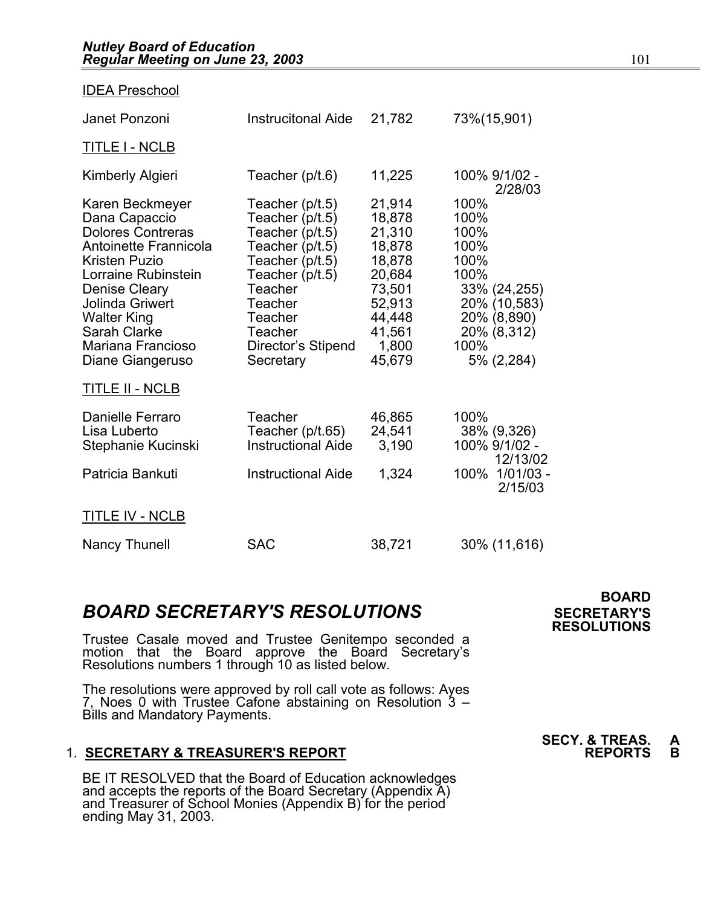| <b>IDEA Preschool</b>                                                                                                                                                                                                                            |                                                                                                                                                                                                        |                                                                                                                     |                                                                                                                                  |
|--------------------------------------------------------------------------------------------------------------------------------------------------------------------------------------------------------------------------------------------------|--------------------------------------------------------------------------------------------------------------------------------------------------------------------------------------------------------|---------------------------------------------------------------------------------------------------------------------|----------------------------------------------------------------------------------------------------------------------------------|
| Janet Ponzoni                                                                                                                                                                                                                                    | <b>Instrucitonal Aide</b>                                                                                                                                                                              | 21,782                                                                                                              | 73%(15,901)                                                                                                                      |
| TITLE I - NCLB                                                                                                                                                                                                                                   |                                                                                                                                                                                                        |                                                                                                                     |                                                                                                                                  |
| Kimberly Algieri                                                                                                                                                                                                                                 | Teacher (p/t.6)                                                                                                                                                                                        | 11,225                                                                                                              | 100% 9/1/02 -<br>2/28/03                                                                                                         |
| Karen Beckmeyer<br>Dana Capaccio<br>Dolores Contreras<br><b>Antoinette Frannicola</b><br>Kristen Puzio<br>Lorraine Rubinstein<br>Denise Cleary<br>Jolinda Griwert<br><b>Walter King</b><br>Sarah Clarke<br>Mariana Francioso<br>Diane Giangeruso | Teacher (p/t.5)<br>Teacher (p/t.5)<br>Teacher (p/t.5)<br>Teacher (p/t.5)<br>Teacher (p/t.5)<br>Teacher $(p/t.5)$<br>Teacher<br><b>Teacher</b><br>Teacher<br>Teacher<br>Director's Stipend<br>Secretary | 21,914<br>18,878<br>21,310<br>18,878<br>18,878<br>20,684<br>73,501<br>52,913<br>44,448<br>41,561<br>1,800<br>45,679 | 100%<br>100%<br>100%<br>100%<br>100%<br>100%<br>33% (24,255)<br>20% (10,583)<br>20% (8,890)<br>20% (8,312)<br>100%<br>5% (2,284) |
| <u>TITLE II - NCLB</u>                                                                                                                                                                                                                           |                                                                                                                                                                                                        |                                                                                                                     |                                                                                                                                  |
| Danielle Ferraro<br>Lisa Luberto<br>Stephanie Kucinski                                                                                                                                                                                           | Teacher<br>Teacher $(p/t.65)$<br><b>Instructional Aide</b>                                                                                                                                             | 46,865<br>24,541<br>3,190                                                                                           | 100%<br>38% (9,326)<br>100% 9/1/02 -<br>12/13/02                                                                                 |
| Patricia Bankuti                                                                                                                                                                                                                                 | <b>Instructional Aide</b>                                                                                                                                                                              | 1,324                                                                                                               | 100%<br>$1/01/03 -$<br>2/15/03                                                                                                   |
| <b>TITLE IV - NCLB</b>                                                                                                                                                                                                                           |                                                                                                                                                                                                        |                                                                                                                     |                                                                                                                                  |
| <b>Nancy Thunell</b>                                                                                                                                                                                                                             | <b>SAC</b>                                                                                                                                                                                             | 38,721                                                                                                              | 30% (11,616)                                                                                                                     |

## **BOARD SECRETARY'S RESOLUTIONS** SECRETARY'S

Trustee Casale moved and Trustee Genitempo seconded a motion that the Board approve the Board Secretary's Resolutions numbers 1 through 10 as listed below.

The resolutions were approved by roll call vote as follows: Ayes 7, Noes 0 with Trustee Cafone abstaining on Resolution 3 – Bills and Mandatory Payments.

### 1. **SECRETARY & TREASURER'S REPORT**

 BE IT RESOLVED that the Board of Education acknowledges and accepts the reports of the Board Secretary (Appendix A)<br>and Treasurer of School Monies (Appendix B) for the period<br>ending May 31, 2003.

 **BOARD RESOLUTIONS** 

**SECY. & TREAS. A**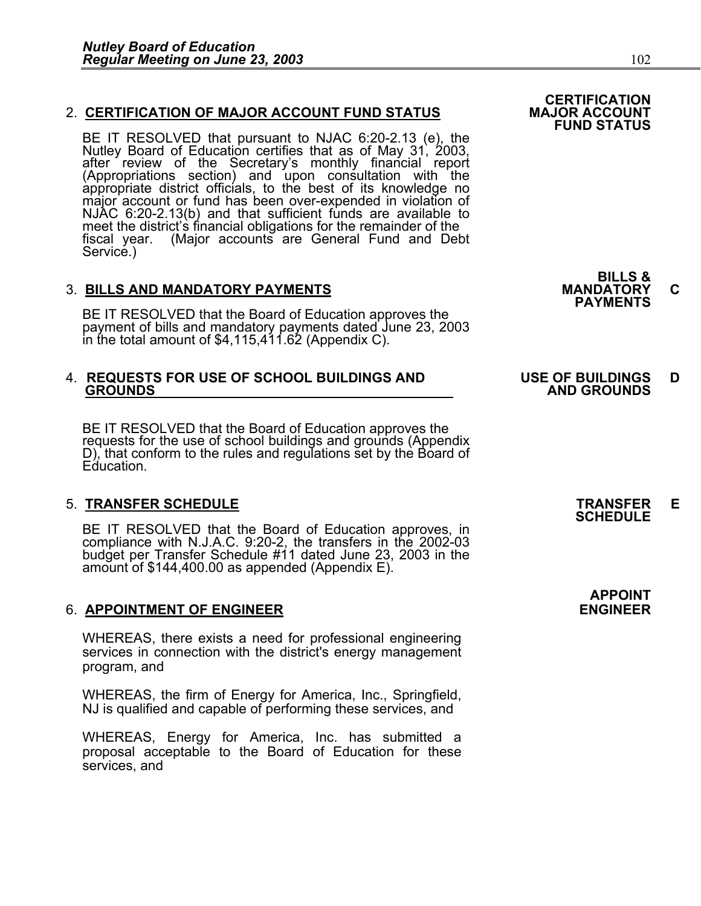#### 2. CERTIFICATION OF MAJOR ACCOUNT FUND STATUS

BE IT RESOLVED that pursuant to NJAC 6:20-2.13 (e), the Nutley Board of Education certifies that as of May 31, 2003, after review of the Secretary's monthly financial report (Appropriations section) and upon consultation with the appropriate district officials, to the best of its knowledge no major account or fund has been over-expended NJAC 6:20-2.13(b) and that sufficient funds are available to meet the district's financial obligations for the remainder of the fiscal year. (Major accounts are General Fund and Debt Service.)

3. BILLS AND MANDATORY PAYMENTS<br>BE IT RESOLVED that the Board of Education approves the **PAYMENTS** payment of bills and mandatory payments dated June 23, 2003 in the total amount of \$4,115,411.62 (Appendix C).

## 4. **REQUESTS FOR USE OF SCHOOL BUILDINGS AND USE OF BUILDINGS D GROUNDS AND GROUNDS**

BE IT RESOLVED that the Board of Education approves the requests for the use of school buildings and grounds (Appendix D), that conform to the rules and regulations set by the Board of Education.

5. **TRANSFER SCHEDULE**<br>BE IT RESOLVED that the Board of Education approves, in **SCHEDULE** BE IT RESOLVED that the Board of Education approves, in compliance with N.J.A.C. 9:20-2, the transfers in the 2002-03 budget per Transfer Schedule #11 dated June 23, 2003 in the<br>amount of \$144,400.00 as appended (Appendix E).

### 6. **APPOINTMENT OF ENGINEER ENGINEER**

WHEREAS, there exists a need for professional engineering services in connection with the district's energy management program, and

WHEREAS, the firm of Energy for America, Inc., Springfield, NJ is qualified and capable of performing these services, and

WHEREAS, Energy for America, Inc. has submitted a proposal acceptable to the Board of Education for these services, and

**BILLS &** 

**APPOINT**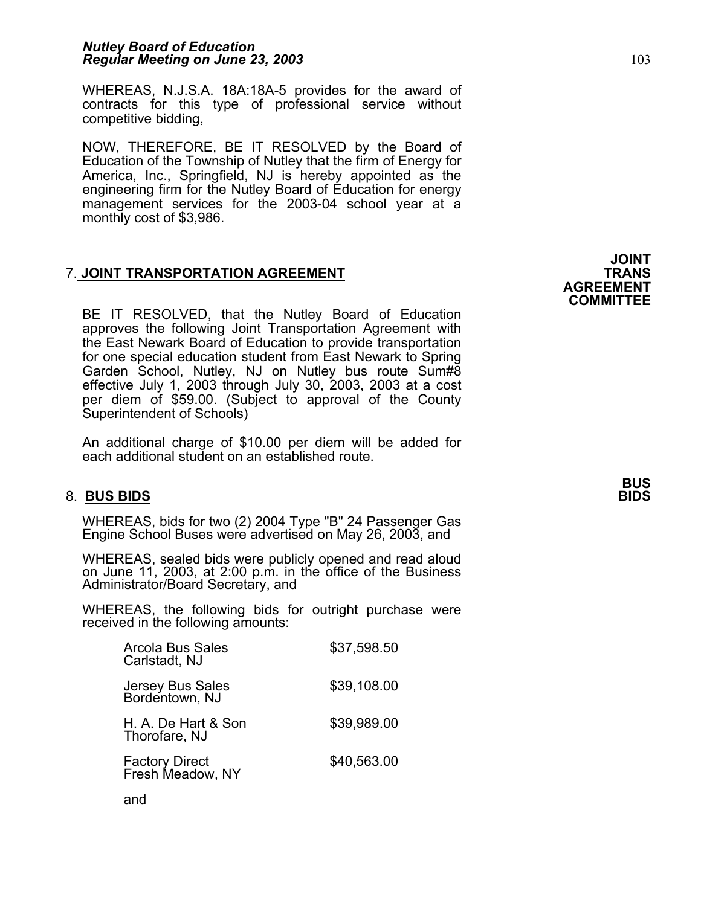WHEREAS, N.J.S.A. 18A:18A-5 provides for the award of contracts for this type of professional service without competitive bidding,

NOW, THEREFORE, BE IT RESOLVED by the Board of Education of the Township of Nutley that the firm of Energy for America, Inc., Springfield, NJ is hereby appointed as the engineering firm for the Nutley Board of Education for energy management services for the 2003-04 school year at a monthly cost of \$3,986.

### **7. JOINT TRANSPORTATION AGREEMENT**

BE IT RESOLVED, that the Nutley Board of Education approves the following Joint Transportation Agreement with the East Newark Board of Education to provide transportation for one special education student from East Newark to Spring Garden School, Nutley, NJ on Nutley bus route Sum#8 effective July 1, 2003 through July 30, 2003, 2003 at a cost per diem of \$59.00. (Subject to approval of the County Superintendent of Schools)

An additional charge of \$10.00 per diem will be added for each additional student on an established route.

### 8. **BUS BIDS BIDS**

WHEREAS, bids for two (2) 2004 Type "B" 24 Passenger Gas Engine School Buses were advertised on May 26, 2003, and

WHEREAS, sealed bids were publicly opened and read aloud on June 11, 2003, at 2:00 p.m. in the office of the Business Administrator/Board Secretary, and

WHEREAS, the following bids for outright purchase were received in the following amounts:

| <b>Arcola Bus Sales</b><br>Carlstadt, NJ | \$37,598.50 |
|------------------------------------------|-------------|
| Jersey Bus Sales<br>Bordentown, NJ       | \$39,108.00 |
| H. A. De Hart & Son<br>Thorofare, NJ     | \$39,989.00 |
| Factory Direct<br>Fresh Meadow, NY       | \$40,563.00 |
|                                          |             |

and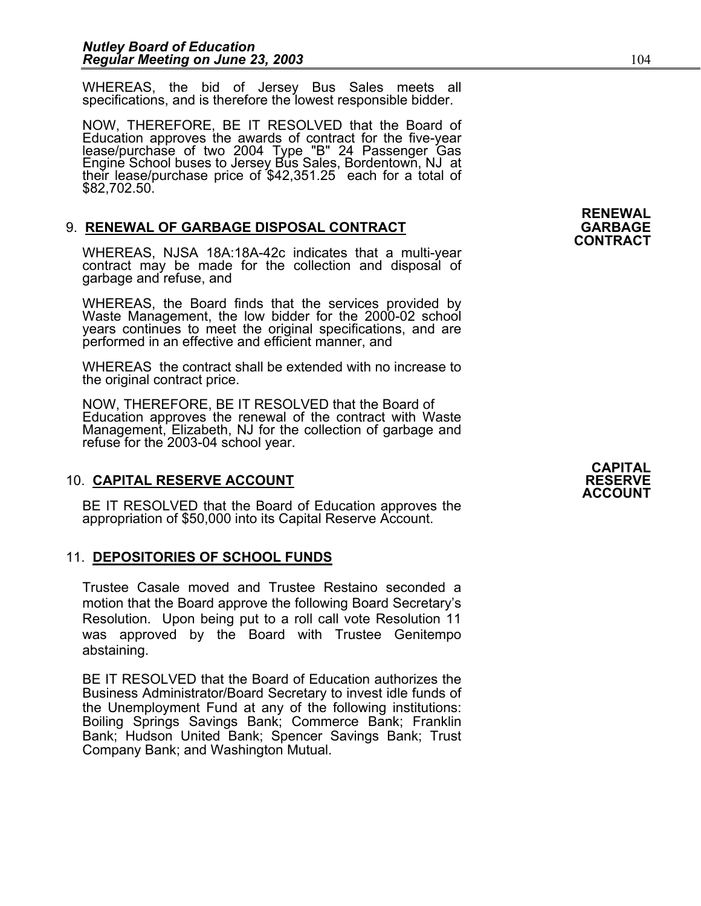WHEREAS, the bid of Jersey Bus Sales meets all specifications, and is therefore the lowest responsible bidder.

NOW, THEREFORE, BE IT RESOLVED that the Board of Education approves the awards of contract for the five-year<br>lease/purchase of two 2004 Type "B" 24 Passenger Gas<br>Engine School buses to Jersey Bus Sales, Bordentown, NJ at their lease/purchase price of \$42,351.25 each for a total of<br>\$82,702.50.

## 9. **RENEWAL OF GARBAGE DISPOSAL CONTRACT GARBAGE CONTRACT**

WHEREAS, NJSA 18A:18A-42c indicates that a multi-year contract may be made for the collection and disposal of garbage and refuse, and

WHEREAS, the Board finds that the services provided by Waste Management, the low bidder for the 2000-02 school years continues to meet the original specifications, and are performed in an effective and efficient manner, and

WHEREAS the contract shall be extended with no increase to the original contract price.

NOW, THEREFORE, BE IT RESOLVED that the Board of Education approves the renewal of the contract with Waste Management, Elizabeth, NJ for the collection of garbage and refuse for the 2003-04 school year.

### 10. **CAPITAL RESERVE ACCOUNT RESERVE**

BE IT RESOLVED that the Board of Education approves the appropriation of \$50,000 into its Capital Reserve Account.

### 11. **DEPOSITORIES OF SCHOOL FUNDS**

Trustee Casale moved and Trustee Restaino seconded a motion that the Board approve the following Board Secretary's Resolution. Upon being put to a roll call vote Resolution 11 was approved by the Board with Trustee Genitempo abstaining.

BE IT RESOLVED that the Board of Education authorizes the Business Administrator/Board Secretary to invest idle funds of the Unemployment Fund at any of the following institutions: Boiling Springs Savings Bank; Commerce Bank; Franklin Bank; Hudson United Bank; Spencer Savings Bank; Trust Company Bank; and Washington Mutual.

# **RENEWAL**

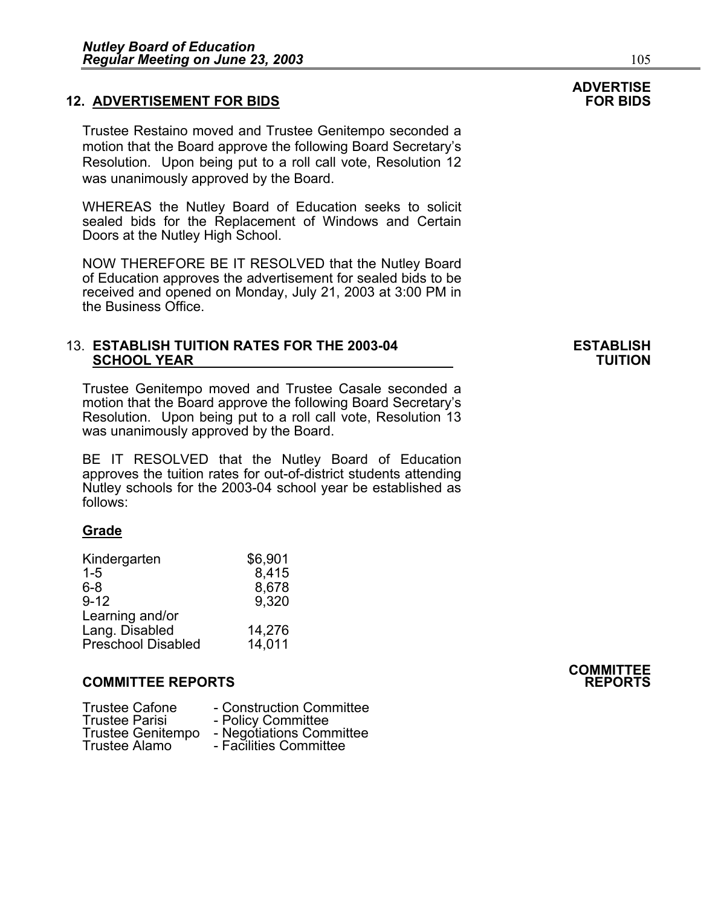#### **12. ADVERTISEMENT FOR BIDS**

Trustee Restaino moved and Trustee Genitempo seconded a motion that the Board approve the following Board Secretary's Resolution. Upon being put to a roll call vote, Resolution 12 was unanimously approved by the Board.

WHEREAS the Nutley Board of Education seeks to solicit sealed bids for the Replacement of Windows and Certain Doors at the Nutley High School.

NOW THEREFORE BE IT RESOLVED that the Nutley Board of Education approves the advertisement for sealed bids to be received and opened on Monday, July 21, 2003 at 3:00 PM in the Business Office.

#### 13. **ESTABLISH TUITION RATES FOR THE 2003-04 ESTABLISH SCHOOL YEAR TUITION**

Trustee Genitempo moved and Trustee Casale seconded a motion that the Board approve the following Board Secretary's Resolution. Upon being put to a roll call vote, Resolution 13 was unanimously approved by the Board.

BE IT RESOLVED that the Nutley Board of Education approves the tuition rates for out-of-district students attending Nutley schools for the 2003-04 school year be established as follows:

#### **Grade**

| Kindergarten              | \$6,901 |
|---------------------------|---------|
| $1 - 5$                   | 8,415   |
| $6 - 8$                   | 8,678   |
| $9 - 12$                  | 9,320   |
| Learning and/or           |         |
| Lang. Disabled            | 14,276  |
| <b>Preschool Disabled</b> | 14.011  |

#### **COMMITTEE REPORTS REPORTS**

| <b>Trustee Cafone</b><br><b>Trustee Parisi</b><br><b>Trustee Genitempo</b><br><b>Trustee Alamo</b> | - Construction Committee<br>- Policy Committee<br>- Negotiations Committee<br>- Facilities Committee |
|----------------------------------------------------------------------------------------------------|------------------------------------------------------------------------------------------------------|
|----------------------------------------------------------------------------------------------------|------------------------------------------------------------------------------------------------------|

# **ADVERTISE**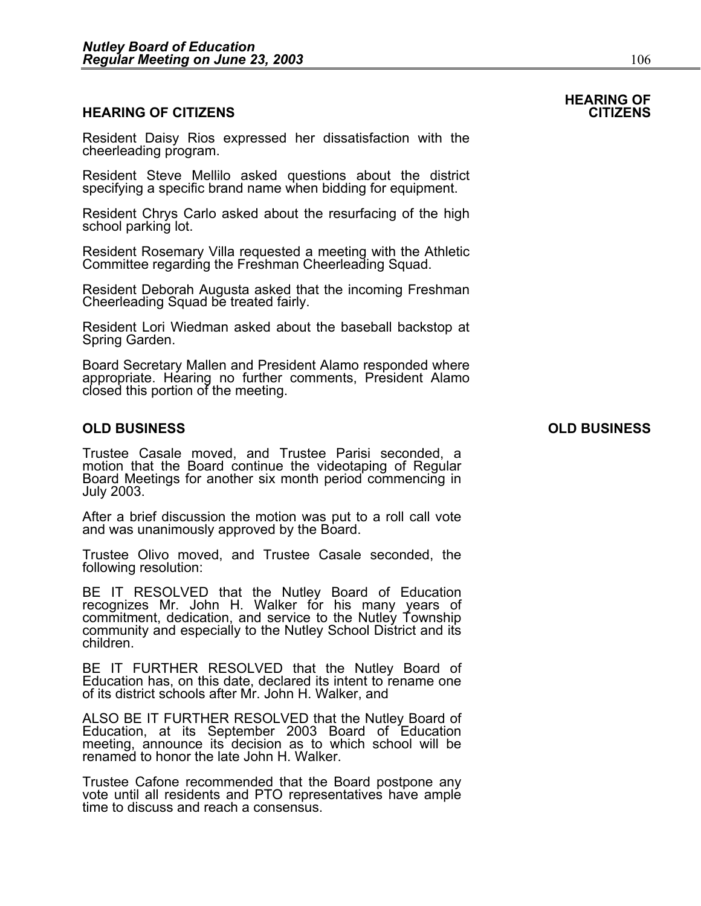#### **HEARING OF CITIZENS CITIZENS**

Resident Daisy Rios expressed her dissatisfaction with the cheerleading program.

Resident Steve Mellilo asked questions about the district specifying a specific brand name when bidding for equipment.

Resident Chrys Carlo asked about the resurfacing of the high school parking lot.

Resident Rosemary Villa requested a meeting with the Athletic Committee regarding the Freshman Cheerleading Squad.

Resident Deborah Augusta asked that the incoming Freshman Cheerleading Squad be treated fairly.

Resident Lori Wiedman asked about the baseball backstop at Spring Garden.

Board Secretary Mallen and President Alamo responded where appropriate. Hearing no further comments, President Alamo closed this portion of the meeting.

#### **OLD BUSINESS OLD BUSINESS**

Trustee Casale moved, and Trustee Parisi seconded, a motion that the Board continue the videotaping of Regular Board Meetings for another six month period commencing in July 2003.

After a brief discussion the motion was put to a roll call vote and was unanimously approved by the Board.

Trustee Olivo moved, and Trustee Casale seconded, the following resolution:

BE IT RESOLVED that the Nutley Board of Education recognizes Mr. John H. Walker for his many years of commitment, dedication, and service to the Nutley Township community and especially to the Nutley School District and its children.

BE IT FURTHER RESOLVED that the Nutley Board of Education has, on this date, declared its intent to rename one of its district schools after Mr. John H. Walker, and

ALSO BE IT FURTHER RESOLVED that the Nutley Board of Education, at its September 2003 Board of Education meeting, announce its decision as to which school will be renamed to honor the late John H. Walker.

Trustee Cafone recommended that the Board postpone any vote until all residents and PTO representatives have ample time to discuss and reach a consensus.

## **HEARING OF**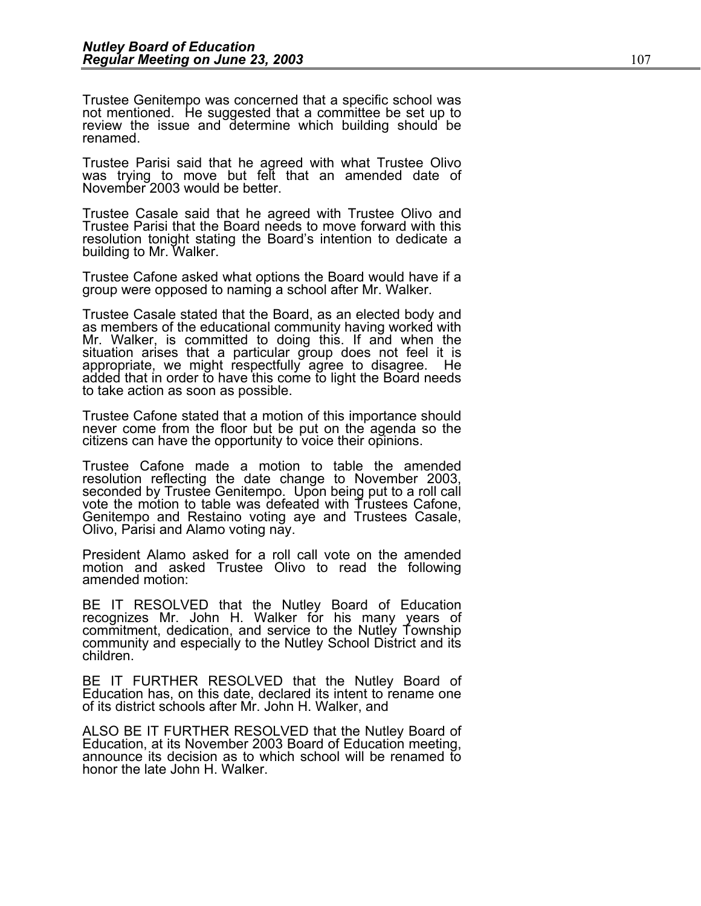Trustee Genitempo was concerned that a specific school was not mentioned. He suggested that a committee be set up to review the issue and determine which building should be renamed.

Trustee Parisi said that he agreed with what Trustee Olivo was trying to move but felt that an amended date of November 2003 would be better.

Trustee Casale said that he agreed with Trustee Olivo and Trustee Parisi that the Board needs to move forward with this resolution tonight stating the Board's intention to dedicate a building to Mr. Walker.

Trustee Cafone asked what options the Board would have if a group were opposed to naming a school after Mr. Walker.

Trustee Casale stated that the Board, as an elected body and as members of the educational community having worked with Mr. Walker, is committed to doing this. If and when the situation arises that a particular group does not feel it is appropriate, we might respectfully agree to disagree. He added that in order to have this come to light the Board needs to take action as soon as possible.

Trustee Cafone stated that a motion of this importance should never come from the floor but be put on the agenda so the citizens can have the opportunity to voice their opinions.

Trustee Cafone made a motion to table the amended resolution reflecting the date change to November 2003, seconded by Trustee Genitempo. Upon being put to a roll call vote the motion to table was defeated with Trustees Cafone, Genitempo and Restaino voting aye and Trustees Casale, Olivo, Parisi and Alamo voting nay.

President Alamo asked for a roll call vote on the amended motion and asked Trustee Olivo to read the following amended motion:

BE IT RESOLVED that the Nutley Board of Education recognizes Mr. John H. Walker for his many years of commitment, dedication, and service to the Nutley Township community and especially to the Nutley School District and its children.

BE IT FURTHER RESOLVED that the Nutley Board of Education has, on this date, declared its intent to rename one of its district schools after Mr. John H. Walker, and

ALSO BE IT FURTHER RESOLVED that the Nutley Board of Education, at its November 2003 Board of Education meeting, announce its decision as to which school will be renamed to honor the late John H. Walker.